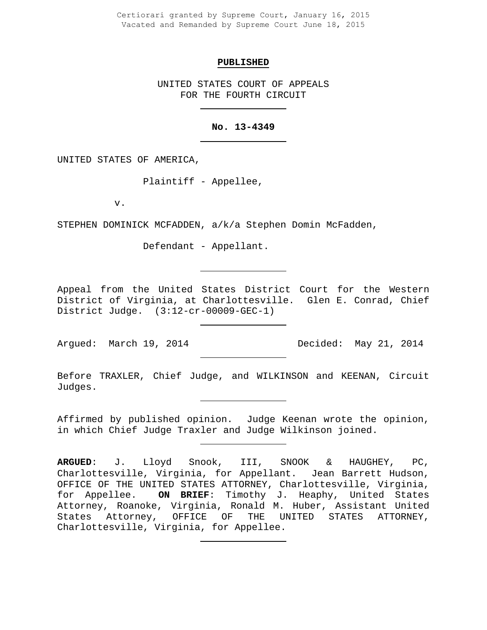Certiorari granted by Supreme Court, January 16, 2015 Vacated and Remanded by Supreme Court June 18, 2015

#### **PUBLISHED**

UNITED STATES COURT OF APPEALS FOR THE FOURTH CIRCUIT

# **No. 13-4349**

UNITED STATES OF AMERICA,

Plaintiff - Appellee,

v.

STEPHEN DOMINICK MCFADDEN, a/k/a Stephen Domin McFadden,

Defendant - Appellant.

Appeal from the United States District Court for the Western District of Virginia, at Charlottesville. Glen E. Conrad, Chief District Judge. (3:12-cr-00009-GEC-1)

Argued: March 19, 2014 Decided: May 21, 2014

Before TRAXLER, Chief Judge, and WILKINSON and KEENAN, Circuit Judges.

Affirmed by published opinion. Judge Keenan wrote the opinion, in which Chief Judge Traxler and Judge Wilkinson joined.

**ARGUED**: J. Lloyd Snook, III, SNOOK & HAUGHEY, PC, Charlottesville, Virginia, for Appellant. Jean Barrett Hudson, OFFICE OF THE UNITED STATES ATTORNEY, Charlottesville, Virginia,<br>for Appellee. ON BRIEF: Timothy J. Heaphy, United States **ON BRIEF:** Timothy J. Heaphy, United States Attorney, Roanoke, Virginia, Ronald M. Huber, Assistant United<br>States Attorney, OFFICE OF THE UNITED STATES ATTORNEY, States Attorney, OFFICE OF Charlottesville, Virginia, for Appellee.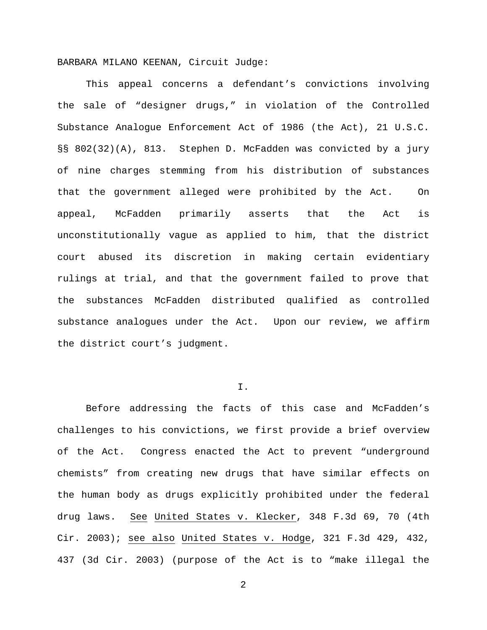BARBARA MILANO KEENAN, Circuit Judge:

This appeal concerns a defendant's convictions involving the sale of "designer drugs," in violation of the Controlled Substance Analogue Enforcement Act of 1986 (the Act), 21 U.S.C. §§ 802(32)(A), 813. Stephen D. McFadden was convicted by a jury of nine charges stemming from his distribution of substances that the government alleged were prohibited by the Act. On appeal, McFadden primarily asserts that the Act is unconstitutionally vague as applied to him, that the district court abused its discretion in making certain evidentiary rulings at trial, and that the government failed to prove that the substances McFadden distributed qualified as controlled substance analogues under the Act. Upon our review, we affirm the district court's judgment.

# I.

Before addressing the facts of this case and McFadden's challenges to his convictions, we first provide a brief overview of the Act. Congress enacted the Act to prevent "underground chemists" from creating new drugs that have similar effects on the human body as drugs explicitly prohibited under the federal drug laws. See United States v. Klecker, 348 F.3d 69, 70 (4th Cir. 2003); see also United States v. Hodge, 321 F.3d 429, 432, 437 (3d Cir. 2003) (purpose of the Act is to "make illegal the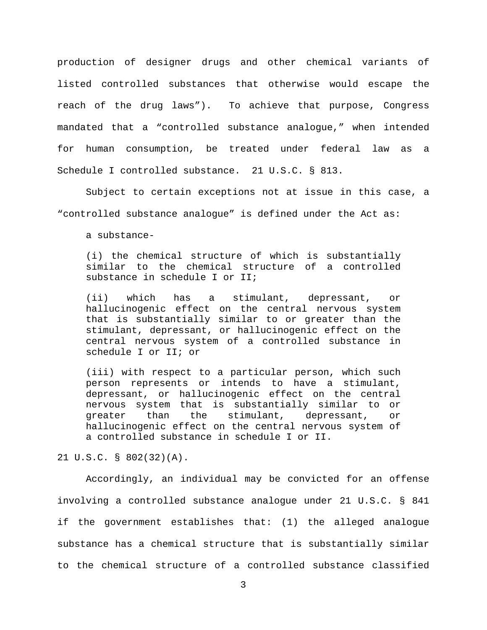production of designer drugs and other chemical variants of listed controlled substances that otherwise would escape the reach of the drug laws"). To achieve that purpose, Congress mandated that a "controlled substance analogue," when intended for human consumption, be treated under federal law as a Schedule I controlled substance. 21 U.S.C. § 813.

Subject to certain exceptions not at issue in this case, a "controlled substance analogue" is defined under the Act as:

a substance-

(i) the chemical structure of which is substantially similar to the chemical structure of a controlled substance in schedule I or II;

(ii) which has a stimulant, depressant, or hallucinogenic effect on the central nervous system that is substantially similar to or greater than the stimulant, depressant, or hallucinogenic effect on the central nervous system of a controlled substance in schedule I or II; or

(iii) with respect to a particular person, which such person represents or intends to have a stimulant, depressant, or hallucinogenic effect on the central nervous system that is substantially similar to or<br>qreater than the stimulant, depressant, or greater than the stimulant, depressant, or hallucinogenic effect on the central nervous system of a controlled substance in schedule I or II.

21 U.S.C. § 802(32)(A).

Accordingly, an individual may be convicted for an offense involving a controlled substance analogue under 21 U.S.C. § 841 if the government establishes that: (1) the alleged analogue substance has a chemical structure that is substantially similar to the chemical structure of a controlled substance classified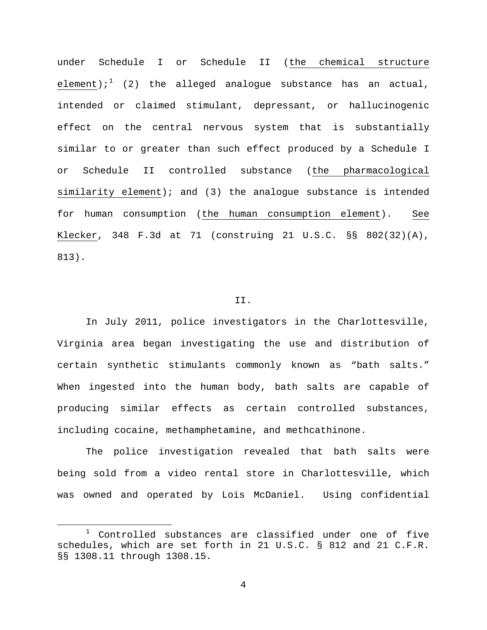under Schedule I or Schedule II (the chemical structure element);<sup>[1](#page-3-0)</sup> (2) the alleged analogue substance has an actual, intended or claimed stimulant, depressant, or hallucinogenic effect on the central nervous system that is substantially similar to or greater than such effect produced by a Schedule I or Schedule II controlled substance (the pharmacological similarity element); and (3) the analogue substance is intended for human consumption (the human consumption element). See Klecker, 348 F.3d at 71 (construing 21 U.S.C. §§ 802(32)(A), 813).

### II.

In July 2011, police investigators in the Charlottesville, Virginia area began investigating the use and distribution of certain synthetic stimulants commonly known as "bath salts." When ingested into the human body, bath salts are capable of producing similar effects as certain controlled substances, including cocaine, methamphetamine, and methcathinone.

The police investigation revealed that bath salts were being sold from a video rental store in Charlottesville, which was owned and operated by Lois McDaniel. Using confidential

<span id="page-3-0"></span> $1$  Controlled substances are classified under one of five schedules, which are set forth in 21 U.S.C. § 812 and 21 C.F.R. §§ 1308.11 through 1308.15.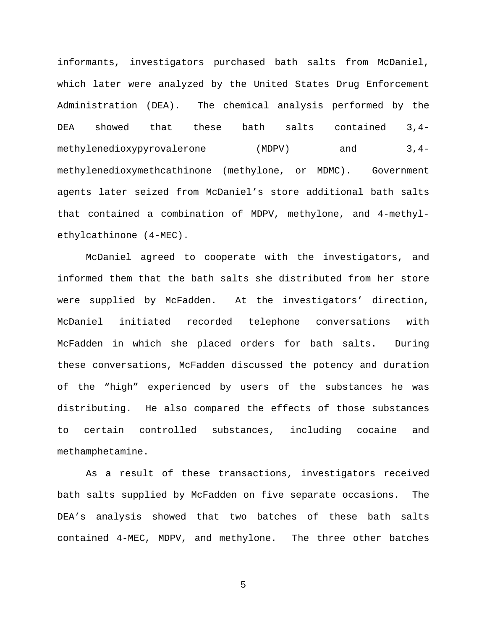informants, investigators purchased bath salts from McDaniel, which later were analyzed by the United States Drug Enforcement Administration (DEA). The chemical analysis performed by the DEA showed that these bath salts contained 3,4 methylenedioxypyrovalerone (MDPV) and 3,4methylenedioxymethcathinone (methylone, or MDMC). Government agents later seized from McDaniel's store additional bath salts that contained a combination of MDPV, methylone, and 4-methylethylcathinone (4-MEC).

McDaniel agreed to cooperate with the investigators, and informed them that the bath salts she distributed from her store were supplied by McFadden. At the investigators' direction, McDaniel initiated recorded telephone conversations with McFadden in which she placed orders for bath salts. During these conversations, McFadden discussed the potency and duration of the "high" experienced by users of the substances he was distributing. He also compared the effects of those substances to certain controlled substances, including cocaine and methamphetamine.

As a result of these transactions, investigators received bath salts supplied by McFadden on five separate occasions. The DEA's analysis showed that two batches of these bath salts contained 4-MEC, MDPV, and methylone. The three other batches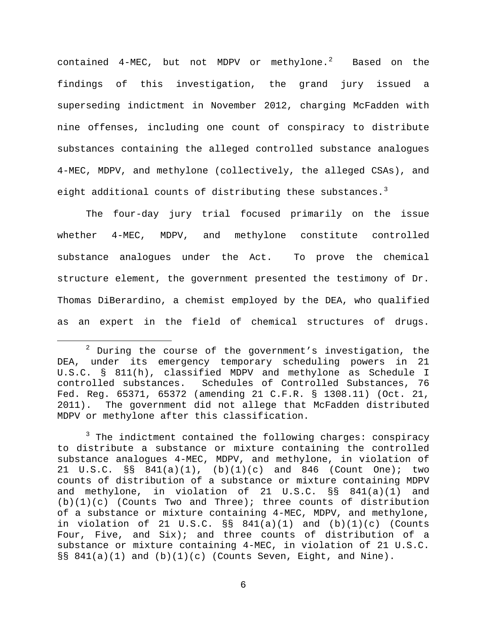contained  $4$ -MEC, but not MDPV or methylone.<sup>[2](#page-5-0)</sup> Based on the findings of this investigation, the grand jury issued a superseding indictment in November 2012, charging McFadden with nine offenses, including one count of conspiracy to distribute substances containing the alleged controlled substance analogues 4-MEC, MDPV, and methylone (collectively, the alleged CSAs), and eight additional counts of distributing these substances.<sup>[3](#page-5-1)</sup>

The four-day jury trial focused primarily on the issue whether 4-MEC, MDPV, and methylone constitute controlled substance analogues under the Act. To prove the chemical structure element, the government presented the testimony of Dr. Thomas DiBerardino, a chemist employed by the DEA, who qualified as an expert in the field of chemical structures of drugs.

<span id="page-5-0"></span> $2$  During the course of the government's investigation, the DEA, under its emergency temporary scheduling powers in 21 U.S.C. § 811(h), classified MDPV and methylone as Schedule I controlled substances. Schedules of Controlled Substances, 76 Fed. Reg. 65371, 65372 (amending 21 C.F.R. § 1308.11) (Oct. 21, 2011). The government did not allege that McFadden distributed MDPV or methylone after this classification.

<span id="page-5-1"></span> $3$  The indictment contained the following charges: conspiracy to distribute a substance or mixture containing the controlled substance analogues 4-MEC, MDPV, and methylone, in violation of 21 U.S.C. §§ 841(a)(1), (b)(1)(c) and 846 (Count One); two counts of distribution of a substance or mixture containing MDPV and methylone, in violation of 21 U.S.C. §§ 841(a)(1) and  $(b)(1)(c)$  (Counts Two and Three); three counts of distribution of a substance or mixture containing 4-MEC, MDPV, and methylone, in violation of 21 U.S.C.  $\S$ § 841(a)(1) and (b)(1)(c) (Counts Four, Five, and Six); and three counts of distribution of a substance or mixture containing 4-MEC, in violation of 21 U.S.C.  $\S$ § 841(a)(1) and (b)(1)(c) (Counts Seven, Eight, and Nine).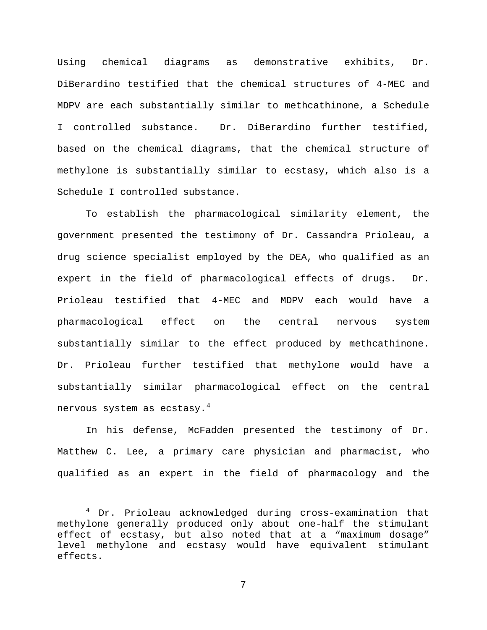Using chemical diagrams as demonstrative exhibits, Dr. DiBerardino testified that the chemical structures of 4-MEC and MDPV are each substantially similar to methcathinone, a Schedule I controlled substance. Dr. DiBerardino further testified, based on the chemical diagrams, that the chemical structure of methylone is substantially similar to ecstasy, which also is a Schedule I controlled substance.

To establish the pharmacological similarity element, the government presented the testimony of Dr. Cassandra Prioleau, a drug science specialist employed by the DEA, who qualified as an expert in the field of pharmacological effects of drugs. Dr. Prioleau testified that 4-MEC and MDPV each would have a pharmacological effect on the central nervous system substantially similar to the effect produced by methcathinone. Dr. Prioleau further testified that methylone would have a substantially similar pharmacological effect on the central nervous system as ecstasy. $4$ 

In his defense, McFadden presented the testimony of Dr. Matthew C. Lee, a primary care physician and pharmacist, who qualified as an expert in the field of pharmacology and the

<span id="page-6-0"></span> <sup>4</sup> Dr. Prioleau acknowledged during cross-examination that methylone generally produced only about one-half the stimulant effect of ecstasy, but also noted that at a "maximum dosage" level methylone and ecstasy would have equivalent stimulant effects.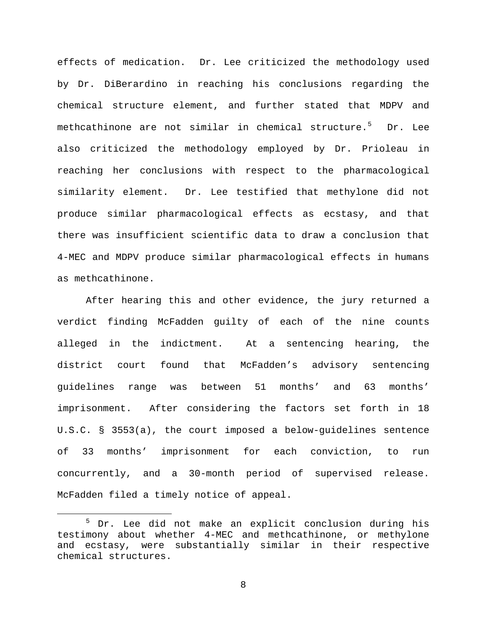effects of medication. Dr. Lee criticized the methodology used by Dr. DiBerardino in reaching his conclusions regarding the chemical structure element, and further stated that MDPV and methcathinone are not similar in chemical structure.<sup>[5](#page-7-0)</sup> Dr. Lee also criticized the methodology employed by Dr. Prioleau in reaching her conclusions with respect to the pharmacological similarity element. Dr. Lee testified that methylone did not produce similar pharmacological effects as ecstasy, and that there was insufficient scientific data to draw a conclusion that 4-MEC and MDPV produce similar pharmacological effects in humans as methcathinone.

After hearing this and other evidence, the jury returned a verdict finding McFadden guilty of each of the nine counts alleged in the indictment. At a sentencing hearing, the district court found that McFadden's advisory sentencing guidelines range was between 51 months' and 63 months' imprisonment. After considering the factors set forth in 18 U.S.C. § 3553(a), the court imposed a below-guidelines sentence of 33 months' imprisonment for each conviction, to run concurrently, and a 30-month period of supervised release. McFadden filed a timely notice of appeal.

<span id="page-7-0"></span> <sup>5</sup> Dr. Lee did not make an explicit conclusion during his testimony about whether 4-MEC and methcathinone, or methylone and ecstasy, were substantially similar in their respective chemical structures.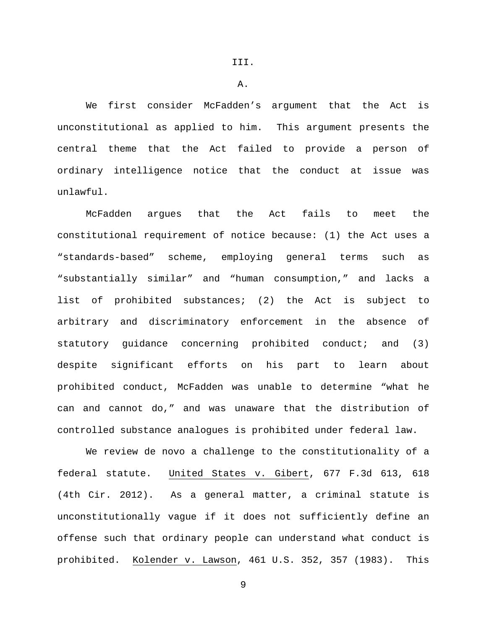A.

We first consider McFadden's argument that the Act is unconstitutional as applied to him. This argument presents the central theme that the Act failed to provide a person of ordinary intelligence notice that the conduct at issue was unlawful.

McFadden argues that the Act fails to meet the constitutional requirement of notice because: (1) the Act uses a "standards-based" scheme, employing general terms such as "substantially similar" and "human consumption," and lacks a list of prohibited substances; (2) the Act is subject to arbitrary and discriminatory enforcement in the absence of statutory guidance concerning prohibited conduct; and (3) despite significant efforts on his part to learn about prohibited conduct, McFadden was unable to determine "what he can and cannot do," and was unaware that the distribution of controlled substance analogues is prohibited under federal law.

We review de novo a challenge to the constitutionality of a federal statute. United States v. Gibert, 677 F.3d 613, 618 (4th Cir. 2012). As a general matter, a criminal statute is unconstitutionally vague if it does not sufficiently define an offense such that ordinary people can understand what conduct is prohibited. Kolender v. Lawson, 461 U.S. 352, 357 (1983). This

9

III.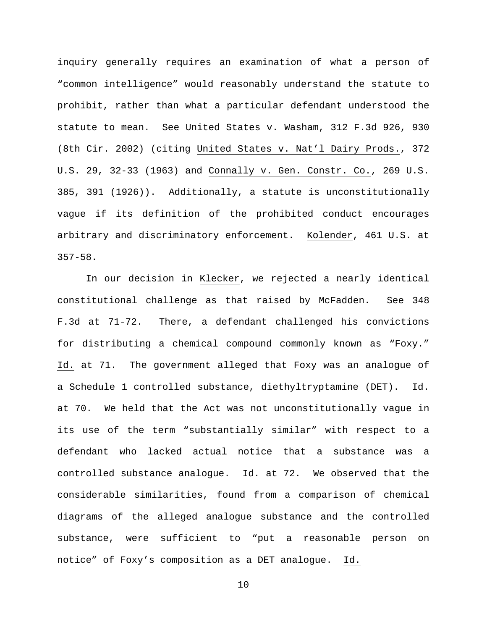inquiry generally requires an examination of what a person of "common intelligence" would reasonably understand the statute to prohibit, rather than what a particular defendant understood the statute to mean. See United States v. Washam, 312 F.3d 926, 930 (8th Cir. 2002) (citing United States v. Nat'l Dairy Prods., 372 U.S. 29, 32-33 (1963) and Connally v. Gen. Constr. Co., 269 U.S. 385, 391 (1926)). Additionally, a statute is unconstitutionally vague if its definition of the prohibited conduct encourages arbitrary and discriminatory enforcement. Kolender, 461 U.S. at 357-58.

In our decision in Klecker, we rejected a nearly identical constitutional challenge as that raised by McFadden. See 348 F.3d at 71-72. There, a defendant challenged his convictions for distributing a chemical compound commonly known as "Foxy." Id. at 71. The government alleged that Foxy was an analogue of a Schedule 1 controlled substance, diethyltryptamine (DET). Id. at 70. We held that the Act was not unconstitutionally vague in its use of the term "substantially similar" with respect to a defendant who lacked actual notice that a substance was a controlled substance analogue. Id. at 72. We observed that the considerable similarities, found from a comparison of chemical diagrams of the alleged analogue substance and the controlled substance, were sufficient to "put a reasonable person on notice" of Foxy's composition as a DET analogue. Id.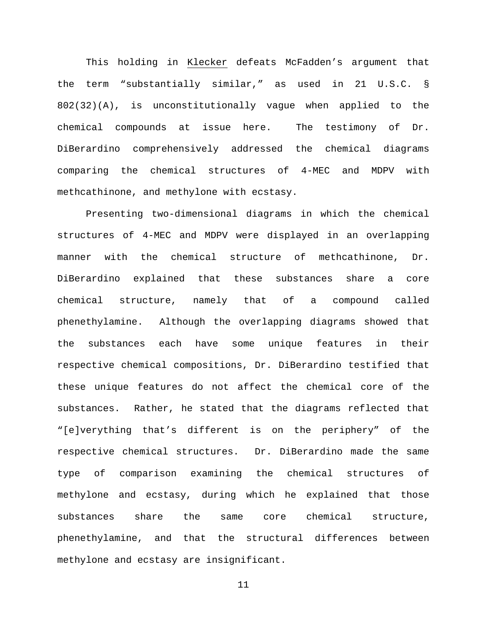This holding in Klecker defeats McFadden's argument that the term "substantially similar," as used in 21 U.S.C. § 802(32)(A), is unconstitutionally vague when applied to the chemical compounds at issue here. The testimony of Dr. DiBerardino comprehensively addressed the chemical diagrams comparing the chemical structures of 4-MEC and MDPV with methcathinone, and methylone with ecstasy.

Presenting two-dimensional diagrams in which the chemical structures of 4-MEC and MDPV were displayed in an overlapping manner with the chemical structure of methcathinone, Dr. DiBerardino explained that these substances share a core chemical structure, namely that of a compound called phenethylamine. Although the overlapping diagrams showed that the substances each have some unique features in their respective chemical compositions, Dr. DiBerardino testified that these unique features do not affect the chemical core of the substances. Rather, he stated that the diagrams reflected that "[e]verything that's different is on the periphery" of the respective chemical structures. Dr. DiBerardino made the same type of comparison examining the chemical structures of methylone and ecstasy, during which he explained that those substances share the same core chemical structure, phenethylamine, and that the structural differences between methylone and ecstasy are insignificant.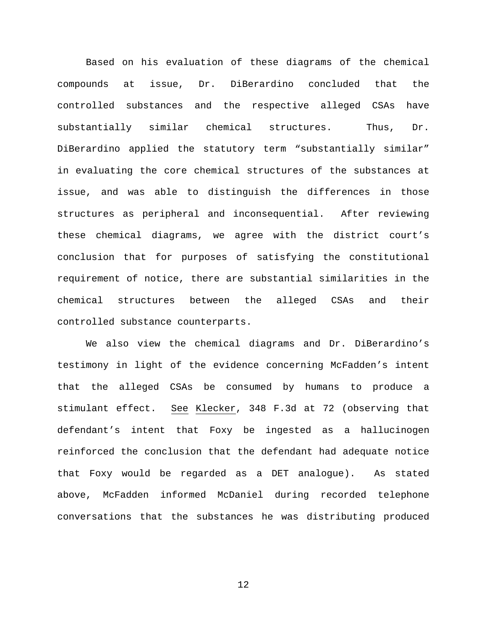Based on his evaluation of these diagrams of the chemical compounds at issue, Dr. DiBerardino concluded that the controlled substances and the respective alleged CSAs have substantially similar chemical structures. Thus, Dr. DiBerardino applied the statutory term "substantially similar" in evaluating the core chemical structures of the substances at issue, and was able to distinguish the differences in those structures as peripheral and inconsequential. After reviewing these chemical diagrams, we agree with the district court's conclusion that for purposes of satisfying the constitutional requirement of notice, there are substantial similarities in the chemical structures between the alleged CSAs and their controlled substance counterparts.

We also view the chemical diagrams and Dr. DiBerardino's testimony in light of the evidence concerning McFadden's intent that the alleged CSAs be consumed by humans to produce a stimulant effect. See Klecker, 348 F.3d at 72 (observing that defendant's intent that Foxy be ingested as a hallucinogen reinforced the conclusion that the defendant had adequate notice that Foxy would be regarded as a DET analogue). As stated above, McFadden informed McDaniel during recorded telephone conversations that the substances he was distributing produced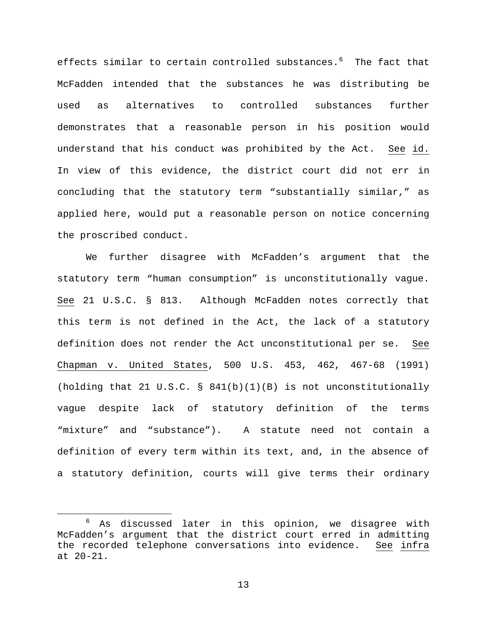effects similar to certain controlled substances.<sup>[6](#page-12-0)</sup> The fact that McFadden intended that the substances he was distributing be used as alternatives to controlled substances further demonstrates that a reasonable person in his position would understand that his conduct was prohibited by the Act. See id. In view of this evidence, the district court did not err in concluding that the statutory term "substantially similar," as applied here, would put a reasonable person on notice concerning the proscribed conduct.

We further disagree with McFadden's argument that the statutory term "human consumption" is unconstitutionally vague. See 21 U.S.C. § 813. Although McFadden notes correctly that this term is not defined in the Act, the lack of a statutory definition does not render the Act unconstitutional per se. See Chapman v. United States, 500 U.S. 453, 462, 467-68 (1991) (holding that 21 U.S.C.  $\S$  841(b)(1)(B) is not unconstitutionally vague despite lack of statutory definition of the terms "mixture" and "substance"). A statute need not contain a definition of every term within its text, and, in the absence of a statutory definition, courts will give terms their ordinary

<span id="page-12-0"></span>As discussed later in this opinion, we disagree with McFadden's argument that the district court erred in admitting the recorded telephone conversations into evidence. See infra at 20-21.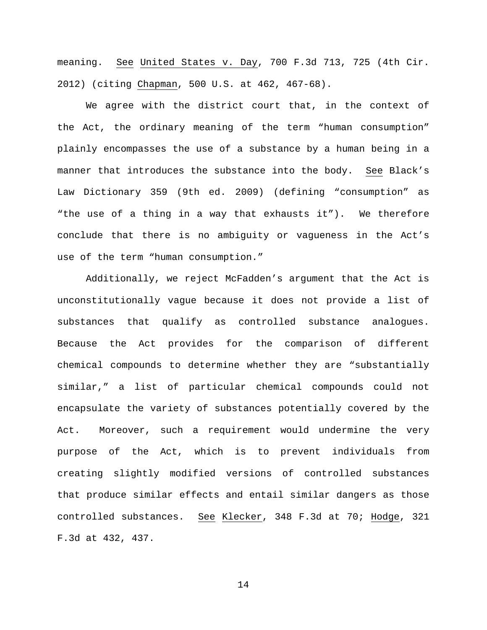meaning. See United States v. Day, 700 F.3d 713, 725 (4th Cir. 2012) (citing Chapman, 500 U.S. at 462, 467-68).

We agree with the district court that, in the context of the Act, the ordinary meaning of the term "human consumption" plainly encompasses the use of a substance by a human being in a manner that introduces the substance into the body. See Black's Law Dictionary 359 (9th ed. 2009) (defining "consumption" as "the use of a thing in a way that exhausts it"). We therefore conclude that there is no ambiguity or vagueness in the Act's use of the term "human consumption."

Additionally, we reject McFadden's argument that the Act is unconstitutionally vague because it does not provide a list of substances that qualify as controlled substance analogues. Because the Act provides for the comparison of different chemical compounds to determine whether they are "substantially similar," a list of particular chemical compounds could not encapsulate the variety of substances potentially covered by the Act. Moreover, such a requirement would undermine the very purpose of the Act, which is to prevent individuals from creating slightly modified versions of controlled substances that produce similar effects and entail similar dangers as those controlled substances. See Klecker, 348 F.3d at 70; Hodge, 321 F.3d at 432, 437.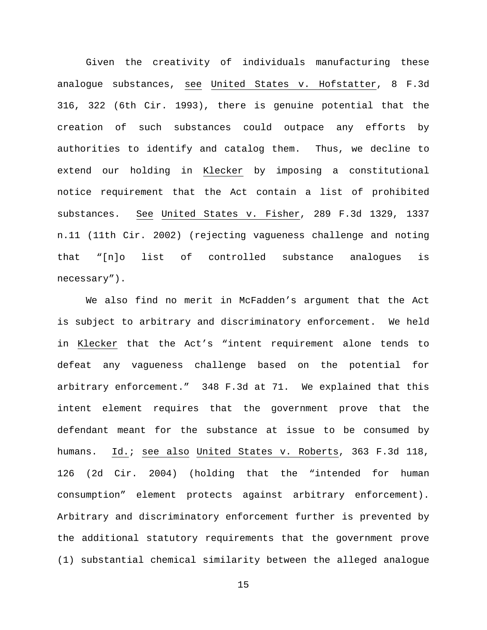Given the creativity of individuals manufacturing these analogue substances, see United States v. Hofstatter, 8 F.3d 316, 322 (6th Cir. 1993), there is genuine potential that the creation of such substances could outpace any efforts by authorities to identify and catalog them. Thus, we decline to extend our holding in Klecker by imposing a constitutional notice requirement that the Act contain a list of prohibited substances. See United States v. Fisher, 289 F.3d 1329, 1337 n.11 (11th Cir. 2002) (rejecting vagueness challenge and noting that "[n]o list of controlled substance analogues is necessary").

We also find no merit in McFadden's argument that the Act is subject to arbitrary and discriminatory enforcement. We held in Klecker that the Act's "intent requirement alone tends to defeat any vagueness challenge based on the potential for arbitrary enforcement." 348 F.3d at 71. We explained that this intent element requires that the government prove that the defendant meant for the substance at issue to be consumed by humans. Id.; see also United States v. Roberts, 363 F.3d 118, 126 (2d Cir. 2004) (holding that the "intended for human consumption" element protects against arbitrary enforcement). Arbitrary and discriminatory enforcement further is prevented by the additional statutory requirements that the government prove (1) substantial chemical similarity between the alleged analogue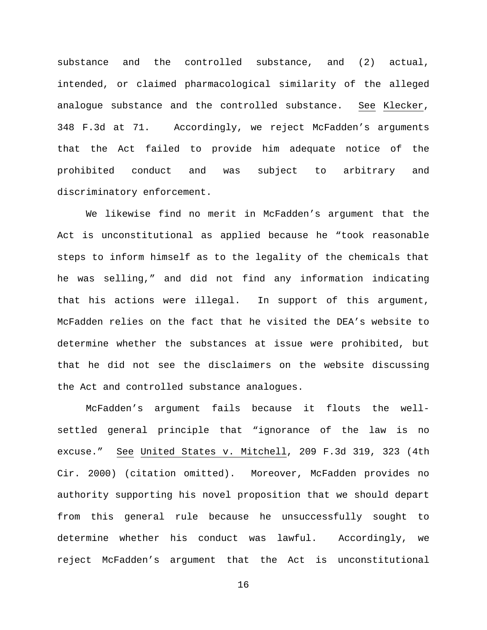substance and the controlled substance, and (2) actual, intended, or claimed pharmacological similarity of the alleged analogue substance and the controlled substance. See Klecker, 348 F.3d at 71. Accordingly, we reject McFadden's arguments that the Act failed to provide him adequate notice of the prohibited conduct and was subject to arbitrary and discriminatory enforcement.

We likewise find no merit in McFadden's argument that the Act is unconstitutional as applied because he "took reasonable steps to inform himself as to the legality of the chemicals that he was selling," and did not find any information indicating that his actions were illegal. In support of this argument, McFadden relies on the fact that he visited the DEA's website to determine whether the substances at issue were prohibited, but that he did not see the disclaimers on the website discussing the Act and controlled substance analogues.

McFadden's argument fails because it flouts the wellsettled general principle that "ignorance of the law is no excuse." See United States v. Mitchell, 209 F.3d 319, 323 (4th Cir. 2000) (citation omitted). Moreover, McFadden provides no authority supporting his novel proposition that we should depart from this general rule because he unsuccessfully sought to determine whether his conduct was lawful. Accordingly, we reject McFadden's argument that the Act is unconstitutional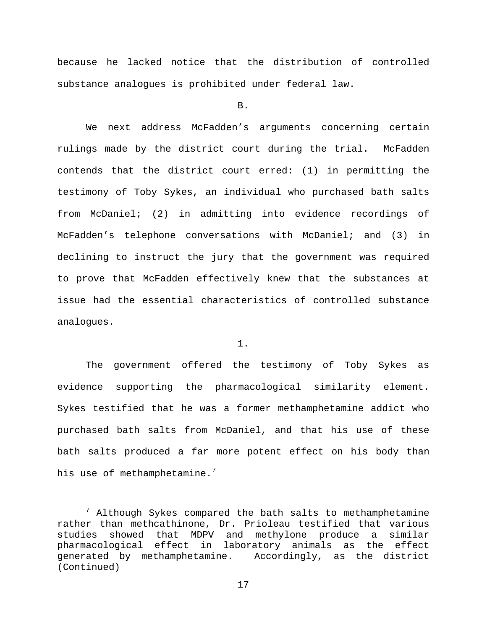because he lacked notice that the distribution of controlled substance analogues is prohibited under federal law.

B.

We next address McFadden's arguments concerning certain rulings made by the district court during the trial. McFadden contends that the district court erred: (1) in permitting the testimony of Toby Sykes, an individual who purchased bath salts from McDaniel; (2) in admitting into evidence recordings of McFadden's telephone conversations with McDaniel; and (3) in declining to instruct the jury that the government was required to prove that McFadden effectively knew that the substances at issue had the essential characteristics of controlled substance analogues.

1.

The government offered the testimony of Toby Sykes as evidence supporting the pharmacological similarity element. Sykes testified that he was a former methamphetamine addict who purchased bath salts from McDaniel, and that his use of these bath salts produced a far more potent effect on his body than his use of methamphetamine.<sup>[7](#page-16-0)</sup>

<span id="page-16-0"></span> $7$  Although Sykes compared the bath salts to methamphetamine rather than methcathinone, Dr. Prioleau testified that various studies showed that MDPV and methylone produce a similar<br>pharmacological effect in laboratory animals as the effect in laboratory animals as the effect generated by methamphetamine. Accordingly, as the district (Continued)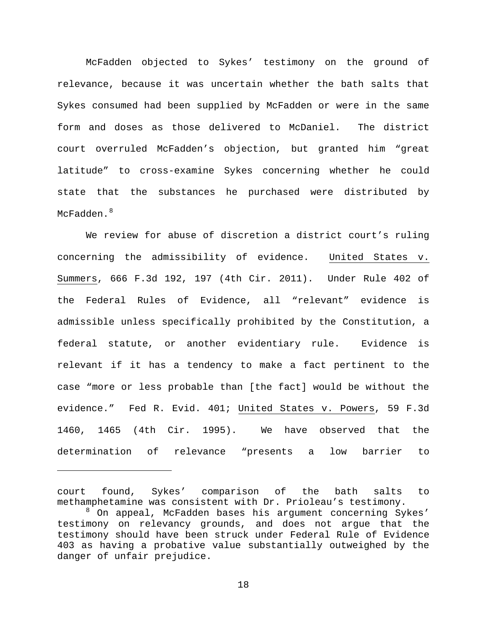McFadden objected to Sykes' testimony on the ground of relevance, because it was uncertain whether the bath salts that Sykes consumed had been supplied by McFadden or were in the same form and doses as those delivered to McDaniel. The district court overruled McFadden's objection, but granted him "great latitude" to cross-examine Sykes concerning whether he could state that the substances he purchased were distributed by McFadden.<sup>[8](#page-17-0)</sup>

We review for abuse of discretion a district court's ruling concerning the admissibility of evidence. United States v. Summers, 666 F.3d 192, 197 (4th Cir. 2011). Under Rule 402 of the Federal Rules of Evidence, all "relevant" evidence is admissible unless specifically prohibited by the Constitution, a federal statute, or another evidentiary rule. Evidence is relevant if it has a tendency to make a fact pertinent to the case "more or less probable than [the fact] would be without the evidence." Fed R. Evid. 401; United States v. Powers, 59 F.3d 1460, 1465 (4th Cir. 1995). We have observed that the determination of relevance "presents a low barrier to

Ĩ.

court found, Sykes' comparison of the bath salts to methamphetamine was consistent with Dr. Prioleau's testimony.

<span id="page-17-0"></span><sup>&</sup>lt;sup>8</sup> On appeal, McFadden bases his argument concerning Sykes' testimony on relevancy grounds, and does not argue that the testimony should have been struck under Federal Rule of Evidence 403 as having a probative value substantially outweighed by the danger of unfair prejudice.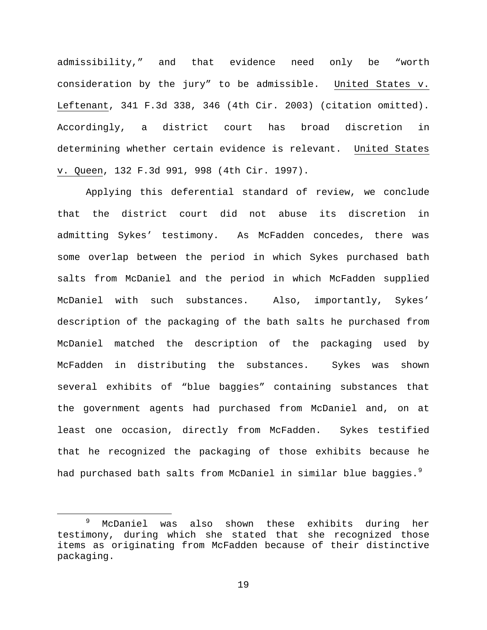admissibility," and that evidence need only be "worth consideration by the jury" to be admissible. United States v. Leftenant, 341 F.3d 338, 346 (4th Cir. 2003) (citation omitted). Accordingly, a district court has broad discretion in determining whether certain evidence is relevant. United States v. Queen, 132 F.3d 991, 998 (4th Cir. 1997).

Applying this deferential standard of review, we conclude that the district court did not abuse its discretion in admitting Sykes' testimony. As McFadden concedes, there was some overlap between the period in which Sykes purchased bath salts from McDaniel and the period in which McFadden supplied McDaniel with such substances. Also, importantly, Sykes' description of the packaging of the bath salts he purchased from McDaniel matched the description of the packaging used by McFadden in distributing the substances. Sykes was shown several exhibits of "blue baggies" containing substances that the government agents had purchased from McDaniel and, on at least one occasion, directly from McFadden. Sykes testified that he recognized the packaging of those exhibits because he had purchased bath salts from McDaniel in similar blue baggies.<sup>[9](#page-18-0)</sup>

<span id="page-18-0"></span> <sup>9</sup> McDaniel was also shown these exhibits during her testimony, during which she stated that she recognized those items as originating from McFadden because of their distinctive packaging.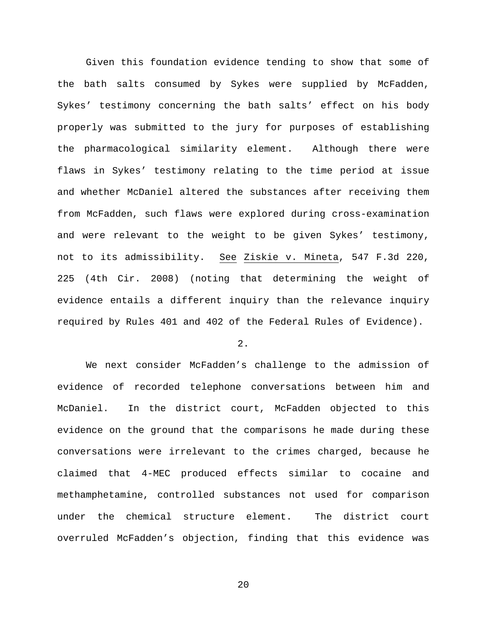Given this foundation evidence tending to show that some of the bath salts consumed by Sykes were supplied by McFadden, Sykes' testimony concerning the bath salts' effect on his body properly was submitted to the jury for purposes of establishing the pharmacological similarity element. Although there were flaws in Sykes' testimony relating to the time period at issue and whether McDaniel altered the substances after receiving them from McFadden, such flaws were explored during cross-examination and were relevant to the weight to be given Sykes' testimony, not to its admissibility. See Ziskie v. Mineta, 547 F.3d 220, 225 (4th Cir. 2008) (noting that determining the weight of evidence entails a different inquiry than the relevance inquiry required by Rules 401 and 402 of the Federal Rules of Evidence).

2.

We next consider McFadden's challenge to the admission of evidence of recorded telephone conversations between him and McDaniel. In the district court, McFadden objected to this evidence on the ground that the comparisons he made during these conversations were irrelevant to the crimes charged, because he claimed that 4-MEC produced effects similar to cocaine and methamphetamine, controlled substances not used for comparison under the chemical structure element. The district court overruled McFadden's objection, finding that this evidence was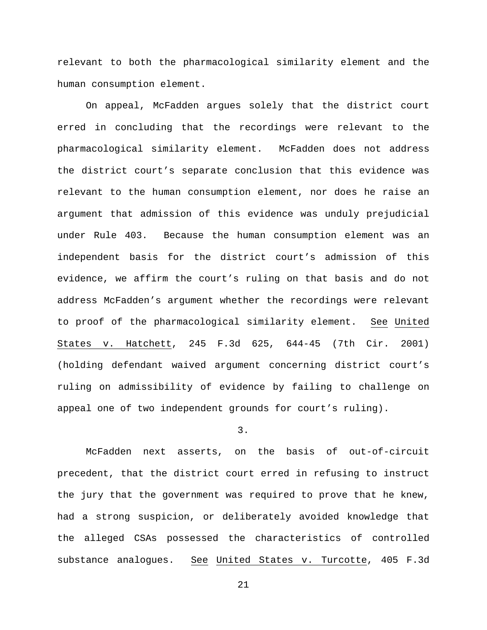relevant to both the pharmacological similarity element and the human consumption element.

On appeal, McFadden argues solely that the district court erred in concluding that the recordings were relevant to the pharmacological similarity element. McFadden does not address the district court's separate conclusion that this evidence was relevant to the human consumption element, nor does he raise an argument that admission of this evidence was unduly prejudicial under Rule 403. Because the human consumption element was an independent basis for the district court's admission of this evidence, we affirm the court's ruling on that basis and do not address McFadden's argument whether the recordings were relevant to proof of the pharmacological similarity element. See United States v. Hatchett, 245 F.3d 625, 644-45 (7th Cir. 2001) (holding defendant waived argument concerning district court's ruling on admissibility of evidence by failing to challenge on appeal one of two independent grounds for court's ruling).

3.

McFadden next asserts, on the basis of out-of-circuit precedent, that the district court erred in refusing to instruct the jury that the government was required to prove that he knew, had a strong suspicion, or deliberately avoided knowledge that the alleged CSAs possessed the characteristics of controlled substance analogues. See United States v. Turcotte, 405 F.3d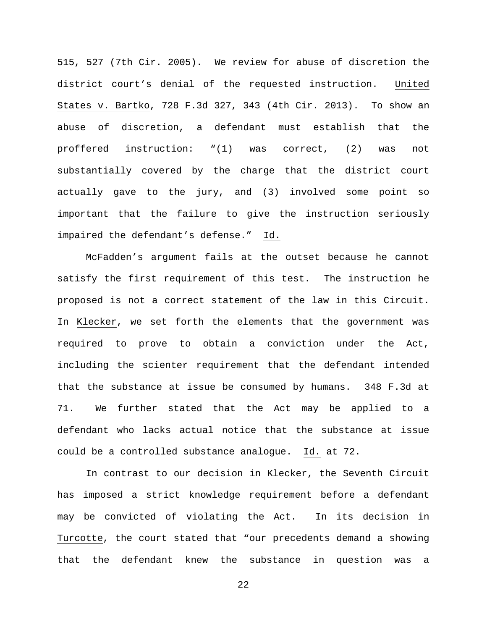515, 527 (7th Cir. 2005). We review for abuse of discretion the district court's denial of the requested instruction. United States v. Bartko, 728 F.3d 327, 343 (4th Cir. 2013). To show an abuse of discretion, a defendant must establish that the proffered instruction: "(1) was correct, (2) was not substantially covered by the charge that the district court actually gave to the jury, and (3) involved some point so important that the failure to give the instruction seriously impaired the defendant's defense." Id.

McFadden's argument fails at the outset because he cannot satisfy the first requirement of this test. The instruction he proposed is not a correct statement of the law in this Circuit. In Klecker, we set forth the elements that the government was required to prove to obtain a conviction under the Act, including the scienter requirement that the defendant intended that the substance at issue be consumed by humans. 348 F.3d at 71. We further stated that the Act may be applied to a defendant who lacks actual notice that the substance at issue could be a controlled substance analogue. Id. at 72.

In contrast to our decision in Klecker, the Seventh Circuit has imposed a strict knowledge requirement before a defendant may be convicted of violating the Act. In its decision in Turcotte, the court stated that "our precedents demand a showing that the defendant knew the substance in question was a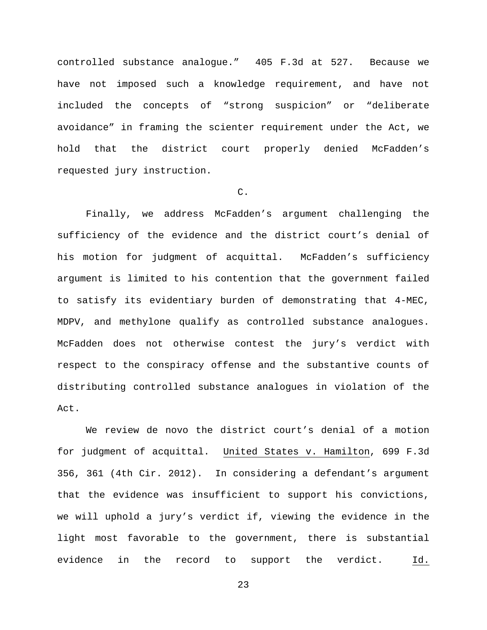controlled substance analogue." 405 F.3d at 527. Because we have not imposed such a knowledge requirement, and have not included the concepts of "strong suspicion" or "deliberate avoidance" in framing the scienter requirement under the Act, we hold that the district court properly denied McFadden's requested jury instruction.

# C.

Finally, we address McFadden's argument challenging the sufficiency of the evidence and the district court's denial of his motion for judgment of acquittal. McFadden's sufficiency argument is limited to his contention that the government failed to satisfy its evidentiary burden of demonstrating that 4-MEC, MDPV, and methylone qualify as controlled substance analogues. McFadden does not otherwise contest the jury's verdict with respect to the conspiracy offense and the substantive counts of distributing controlled substance analogues in violation of the Act.

We review de novo the district court's denial of a motion for judgment of acquittal. United States v. Hamilton, 699 F.3d 356, 361 (4th Cir. 2012). In considering a defendant's argument that the evidence was insufficient to support his convictions, we will uphold a jury's verdict if, viewing the evidence in the light most favorable to the government, there is substantial evidence in the record to support the verdict. Id.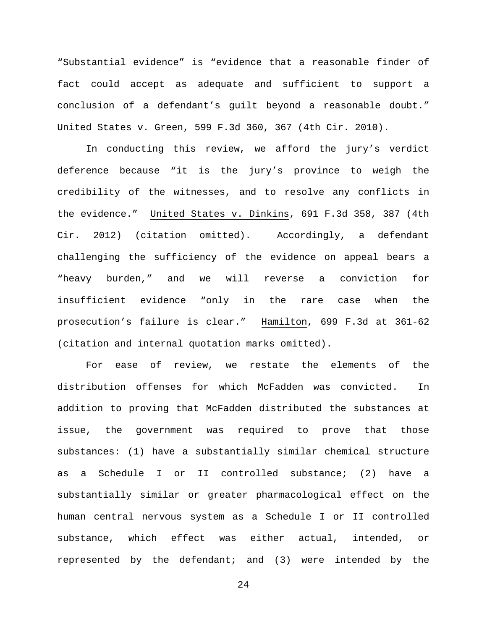"Substantial evidence" is "evidence that a reasonable finder of fact could accept as adequate and sufficient to support a conclusion of a defendant's guilt beyond a reasonable doubt." United States v. Green, 599 F.3d 360, 367 (4th Cir. 2010).

In conducting this review, we afford the jury's verdict deference because "it is the jury's province to weigh the credibility of the witnesses, and to resolve any conflicts in the evidence." United States v. Dinkins, 691 F.3d 358, 387 (4th Cir. 2012) (citation omitted). Accordingly, a defendant challenging the sufficiency of the evidence on appeal bears a "heavy burden," and we will reverse a conviction for insufficient evidence "only in the rare case when the prosecution's failure is clear." Hamilton, 699 F.3d at 361-62 (citation and internal quotation marks omitted).

For ease of review, we restate the elements of the distribution offenses for which McFadden was convicted. In addition to proving that McFadden distributed the substances at issue, the government was required to prove that those substances: (1) have a substantially similar chemical structure as a Schedule I or II controlled substance; (2) have a substantially similar or greater pharmacological effect on the human central nervous system as a Schedule I or II controlled substance, which effect was either actual, intended, or represented by the defendant; and (3) were intended by the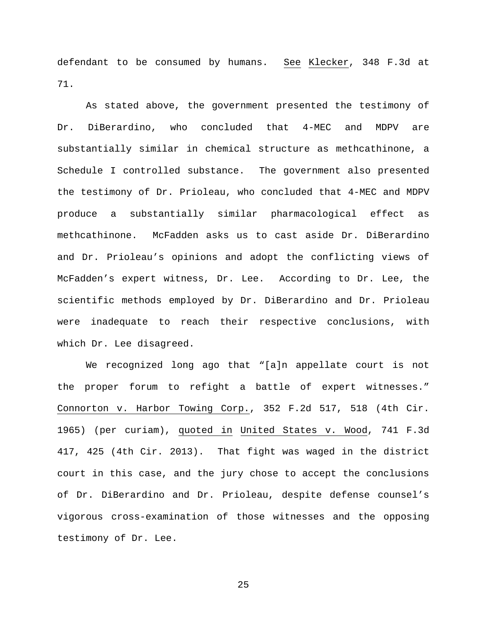defendant to be consumed by humans. See Klecker, 348 F.3d at 71.

As stated above, the government presented the testimony of Dr. DiBerardino, who concluded that 4-MEC and MDPV are substantially similar in chemical structure as methcathinone, a Schedule I controlled substance. The government also presented the testimony of Dr. Prioleau, who concluded that 4-MEC and MDPV produce a substantially similar pharmacological effect as methcathinone. McFadden asks us to cast aside Dr. DiBerardino and Dr. Prioleau's opinions and adopt the conflicting views of McFadden's expert witness, Dr. Lee. According to Dr. Lee, the scientific methods employed by Dr. DiBerardino and Dr. Prioleau were inadequate to reach their respective conclusions, with which Dr. Lee disagreed.

We recognized long ago that "[a]n appellate court is not the proper forum to refight a battle of expert witnesses." Connorton v. Harbor Towing Corp., 352 F.2d 517, 518 (4th Cir. 1965) (per curiam), quoted in United States v. Wood, 741 F.3d 417, 425 (4th Cir. 2013). That fight was waged in the district court in this case, and the jury chose to accept the conclusions of Dr. DiBerardino and Dr. Prioleau, despite defense counsel's vigorous cross-examination of those witnesses and the opposing testimony of Dr. Lee.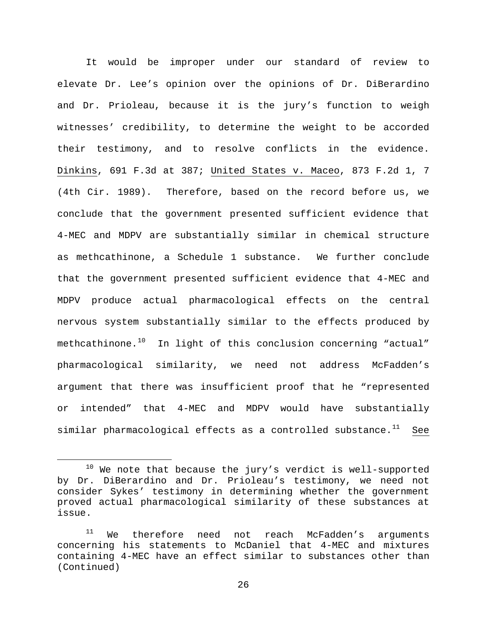It would be improper under our standard of review to elevate Dr. Lee's opinion over the opinions of Dr. DiBerardino and Dr. Prioleau, because it is the jury's function to weigh witnesses' credibility, to determine the weight to be accorded their testimony, and to resolve conflicts in the evidence. Dinkins, 691 F.3d at 387; United States v. Maceo, 873 F.2d 1, 7 (4th Cir. 1989). Therefore, based on the record before us, we conclude that the government presented sufficient evidence that 4-MEC and MDPV are substantially similar in chemical structure as methcathinone, a Schedule 1 substance. We further conclude that the government presented sufficient evidence that 4-MEC and MDPV produce actual pharmacological effects on the central nervous system substantially similar to the effects produced by methcathinone. $10$  In light of this conclusion concerning "actual" pharmacological similarity, we need not address McFadden's argument that there was insufficient proof that he "represented or intended" that 4-MEC and MDPV would have substantially similar pharmacological effects as a controlled substance.<sup>11</sup> See

<span id="page-25-0"></span> $10$  We note that because the jury's verdict is well-supported by Dr. DiBerardino and Dr. Prioleau's testimony, we need not consider Sykes' testimony in determining whether the government proved actual pharmacological similarity of these substances at issue.

<span id="page-25-1"></span> $11$  We therefore need not reach McFadden's arguments concerning his statements to McDaniel that 4-MEC and mixtures containing 4-MEC have an effect similar to substances other than (Continued)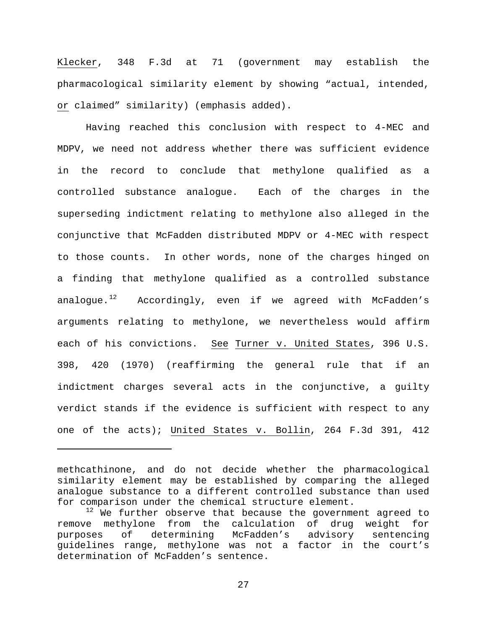Klecker, 348 F.3d at 71 (government may establish the pharmacological similarity element by showing "actual, intended, or claimed" similarity) (emphasis added).

Having reached this conclusion with respect to 4-MEC and MDPV, we need not address whether there was sufficient evidence in the record to conclude that methylone qualified as a controlled substance analogue. Each of the charges in the superseding indictment relating to methylone also alleged in the conjunctive that McFadden distributed MDPV or 4-MEC with respect to those counts. In other words, none of the charges hinged on a finding that methylone qualified as a controlled substance analoque.<sup>12</sup> Accordingly, even if we agreed with McFadden's arguments relating to methylone, we nevertheless would affirm each of his convictions. See Turner v. United States, 396 U.S. 398, 420 (1970) (reaffirming the general rule that if an indictment charges several acts in the conjunctive, a guilty verdict stands if the evidence is sufficient with respect to any one of the acts); United States v. Bollin, 264 F.3d 391, 412

Ĩ.

methcathinone, and do not decide whether the pharmacological similarity element may be established by comparing the alleged analogue substance to a different controlled substance than used for comparison under the chemical structure element.

<span id="page-26-0"></span> $12$  We further observe that because the government agreed to remove methylone from the calculation of drug weight for purposes of determining McFadden's advisory sentencing guidelines range, methylone was not a factor in the court's determination of McFadden's sentence.